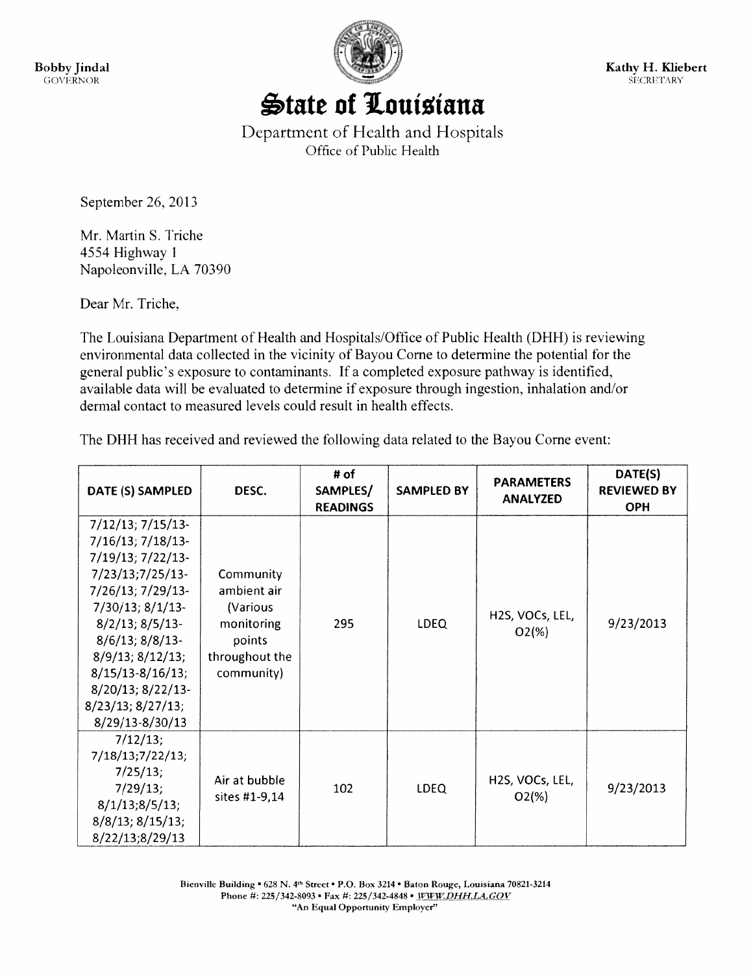Bobby Jindal GOVERNOR



Kathy H. Kliebert **SECRETARY** 

## State of Louisiana

Department of Health and Hospitals Office of Public Health

September 26, 2013

Mr. Martin S. Triche 4554 Highway I Napoleonville, LA 70390

Dear Mr. Triche,

The Louisiana Department of Health and Hospitals/Office of Public Health (DHH) is reviewing environmental data collected in the vicinity of Bayou Come to determine the potential for the general public's exposure to contaminants. If <sup>a</sup> completed exposure pathway is identified, available data will be evaluated to determine if exposure through ingestion, inhalation and/or dermal contact to measured levels could result in health effects.

The DHH has received and reviewed the following data related to the Bayou Come event:

| DATE (S) SAMPLED                                                                                                                                                                                                                                                                                               | DESC.                                                                                        | # of<br>SAMPLES/<br><b>READINGS</b> | <b>SAMPLED BY</b> | <b>PARAMETERS</b><br><b>ANALYZED</b>                  | DATE(S)<br><b>REVIEWED BY</b><br><b>OPH</b> |
|----------------------------------------------------------------------------------------------------------------------------------------------------------------------------------------------------------------------------------------------------------------------------------------------------------------|----------------------------------------------------------------------------------------------|-------------------------------------|-------------------|-------------------------------------------------------|---------------------------------------------|
| $7/12/13$ ; $7/15/13$ -<br>7/16/13; 7/18/13-<br>7/19/13; 7/22/13-<br>$7/23/13;7/25/13-$<br>7/26/13; 7/29/13-<br>$7/30/13$ ; $8/1/13$ -<br>$8/2/13$ ; $8/5/13$ -<br>$8/6/13$ ; $8/8/13$ -<br>$8/9/13$ ; $8/12/13$ ;<br>$8/15/13 - 8/16/13$ ;<br>8/20/13; 8/22/13-<br>$8/23/13$ ; $8/27/13$ ;<br>8/29/13-8/30/13 | Community<br>ambient air<br>(Various<br>monitoring<br>points<br>throughout the<br>community) | 295                                 | <b>LDEQ</b>       | H <sub>2</sub> S, VOC <sub>s</sub> , LEL,<br>$O2(\%)$ | 9/23/2013                                   |
| 7/12/13;<br>7/18/13;7/22/13;<br>7/25/13;<br>7/29/13;<br>8/1/13;8/5/13;<br>$8/8/13$ ; $8/15/13$ ;<br>8/22/13;8/29/13                                                                                                                                                                                            | Air at bubble<br>sites #1-9,14                                                               | 102                                 | <b>LDEQ</b>       | H <sub>2</sub> S, VOC <sub>s</sub> , LEL,<br>$O2(\%)$ | 9/23/2013                                   |